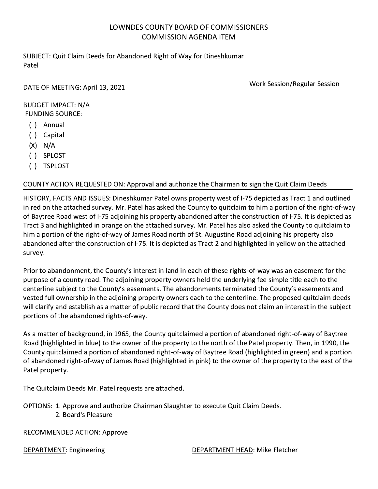## LOWNDES COUNTY BOARD OF COMMISSIONERS **COMMISSION AGENDA ITEM**

SUBJECT: Quit Claim Deeds for Abandoned Right of Way for Dineshkumar Patel

DATE OF MEETING: April 13, 2021

Work Session/Regular Session

**BUDGET IMPACT: N/A FUNDING SOURCE:** 

- () Annual
- () Capital
- $(X)$  N/A
- () SPLOST
- () TSPLOST

## COUNTY ACTION REQUESTED ON: Approval and authorize the Chairman to sign the Quit Claim Deeds

HISTORY, FACTS AND ISSUES: Dineshkumar Patel owns property west of I-75 depicted as Tract 1 and outlined in red on the attached survey. Mr. Patel has asked the County to quitclaim to him a portion of the right-of-way of Baytree Road west of I-75 adjoining his property abandoned after the construction of I-75. It is depicted as Tract 3 and highlighted in orange on the attached survey. Mr. Patel has also asked the County to quitclaim to him a portion of the right-of-way of James Road north of St. Augustine Road adjoining his property also abandoned after the construction of I-75. It is depicted as Tract 2 and highlighted in yellow on the attached survey.

Prior to abandonment, the County's interest in land in each of these rights-of-way was an easement for the purpose of a county road. The adjoining property owners held the underlying fee simple title each to the centerline subject to the County's easements. The abandonments terminated the County's easements and vested full ownership in the adjoining property owners each to the centerline. The proposed quitclaim deeds will clarify and establish as a matter of public record that the County does not claim an interest in the subject portions of the abandoned rights-of-way.

As a matter of background, in 1965, the County quitclaimed a portion of abandoned right-of-way of Baytree Road (highlighted in blue) to the owner of the property to the north of the Patel property. Then, in 1990, the County quitclaimed a portion of abandoned right-of-way of Baytree Road (highlighted in green) and a portion of abandoned right-of-way of James Road (highlighted in pink) to the owner of the property to the east of the Patel property.

The Quitclaim Deeds Mr. Patel requests are attached.

OPTIONS: 1. Approve and authorize Chairman Slaughter to execute Quit Claim Deeds.

2. Board's Pleasure

**RECOMMENDED ACTION: Approve** 

**DEPARTMENT: Engineering** 

DEPARTMENT HEAD: Mike Fletcher